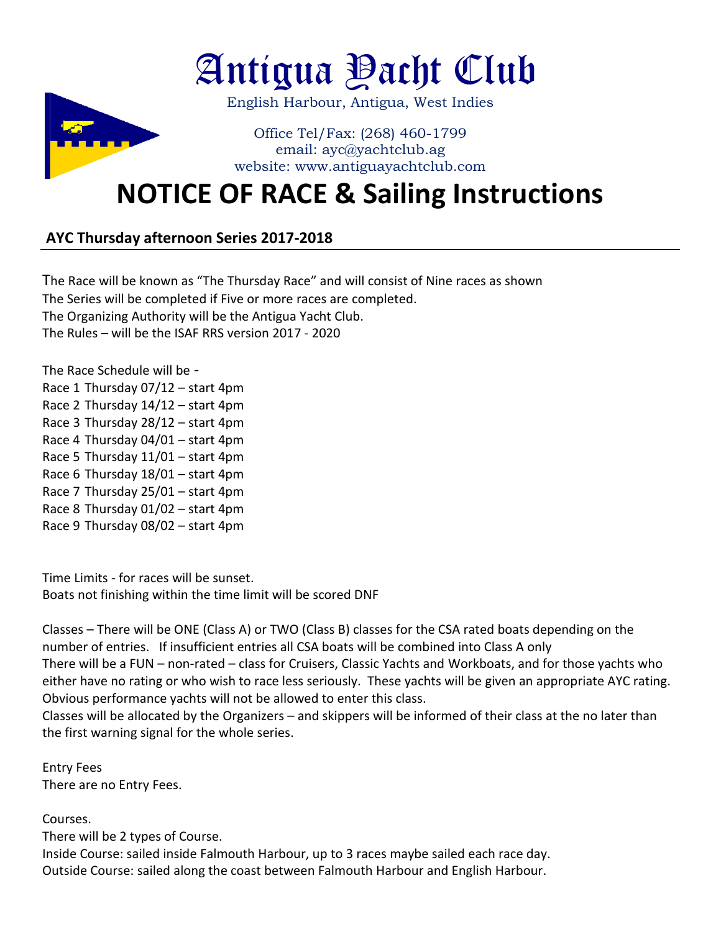

## **NOTICE OF RACE & Sailing Instructions**

## **AYC Thursday afternoon Series 2017-2018**

The Race will be known as "The Thursday Race" and will consist of Nine races as shown The Series will be completed if Five or more races are completed. The Organizing Authority will be the Antigua Yacht Club. The Rules – will be the ISAF RRS version 2017 - 2020

The Race Schedule will be - Race 1 Thursday 07/12 – start 4pm Race 2 Thursday 14/12 – start 4pm Race 3 Thursday 28/12 – start 4pm Race 4 Thursday 04/01 – start 4pm Race 5 Thursday 11/01 – start 4pm Race 6 Thursday 18/01 – start 4pm Race 7 Thursday 25/01 – start 4pm Race 8 Thursday 01/02 – start 4pm Race 9 Thursday 08/02 – start 4pm

Time Limits - for races will be sunset. Boats not finishing within the time limit will be scored DNF

Classes – There will be ONE (Class A) or TWO (Class B) classes for the CSA rated boats depending on the number of entries. If insufficient entries all CSA boats will be combined into Class A only There will be a FUN – non-rated – class for Cruisers, Classic Yachts and Workboats, and for those yachts who either have no rating or who wish to race less seriously. These yachts will be given an appropriate AYC rating. Obvious performance yachts will not be allowed to enter this class.

Classes will be allocated by the Organizers – and skippers will be informed of their class at the no later than the first warning signal for the whole series.

Entry Fees There are no Entry Fees.

Courses.

There will be 2 types of Course. Inside Course: sailed inside Falmouth Harbour, up to 3 races maybe sailed each race day. Outside Course: sailed along the coast between Falmouth Harbour and English Harbour.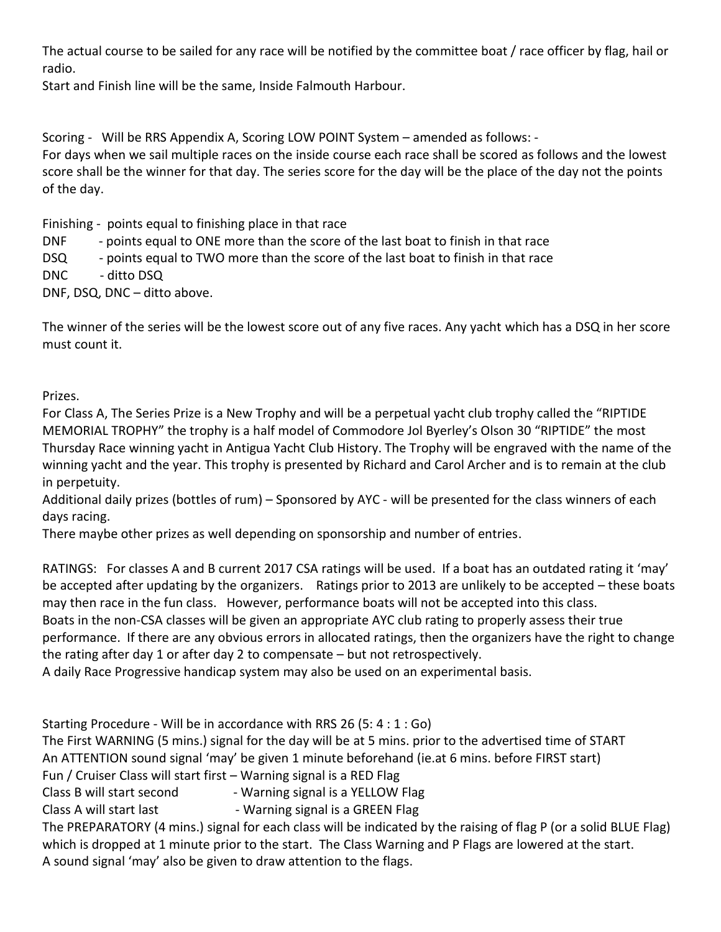The actual course to be sailed for any race will be notified by the committee boat / race officer by flag, hail or radio.

Start and Finish line will be the same, Inside Falmouth Harbour.

Scoring - Will be RRS Appendix A, Scoring LOW POINT System – amended as follows: -

For days when we sail multiple races on the inside course each race shall be scored as follows and the lowest score shall be the winner for that day. The series score for the day will be the place of the day not the points of the day.

Finishing - points equal to finishing place in that race

DNF - points equal to ONE more than the score of the last boat to finish in that race

DSQ - points equal to TWO more than the score of the last boat to finish in that race

DNC - ditto DSQ

DNF, DSQ, DNC – ditto above.

The winner of the series will be the lowest score out of any five races. Any yacht which has a DSQ in her score must count it.

Prizes.

For Class A, The Series Prize is a New Trophy and will be a perpetual yacht club trophy called the "RIPTIDE MEMORIAL TROPHY" the trophy is a half model of Commodore Jol Byerley's Olson 30 "RIPTIDE" the most Thursday Race winning yacht in Antigua Yacht Club History. The Trophy will be engraved with the name of the winning yacht and the year. This trophy is presented by Richard and Carol Archer and is to remain at the club in perpetuity.

Additional daily prizes (bottles of rum) – Sponsored by AYC - will be presented for the class winners of each days racing.

There maybe other prizes as well depending on sponsorship and number of entries.

RATINGS: For classes A and B current 2017 CSA ratings will be used. If a boat has an outdated rating it 'may' be accepted after updating by the organizers. Ratings prior to 2013 are unlikely to be accepted – these boats may then race in the fun class. However, performance boats will not be accepted into this class. Boats in the non-CSA classes will be given an appropriate AYC club rating to properly assess their true

performance. If there are any obvious errors in allocated ratings, then the organizers have the right to change the rating after day 1 or after day 2 to compensate – but not retrospectively.

A daily Race Progressive handicap system may also be used on an experimental basis.

Starting Procedure - Will be in accordance with RRS 26 (5: 4 : 1 : Go)

The First WARNING (5 mins.) signal for the day will be at 5 mins. prior to the advertised time of START An ATTENTION sound signal 'may' be given 1 minute beforehand (ie.at 6 mins. before FIRST start)

Fun / Cruiser Class will start first – Warning signal is a RED Flag

Class B will start second - Warning signal is a YELLOW Flag

Class A will start last **- Warning signal is a GREEN Flag** 

The PREPARATORY (4 mins.) signal for each class will be indicated by the raising of flag P (or a solid BLUE Flag) which is dropped at 1 minute prior to the start. The Class Warning and P Flags are lowered at the start. A sound signal 'may' also be given to draw attention to the flags.